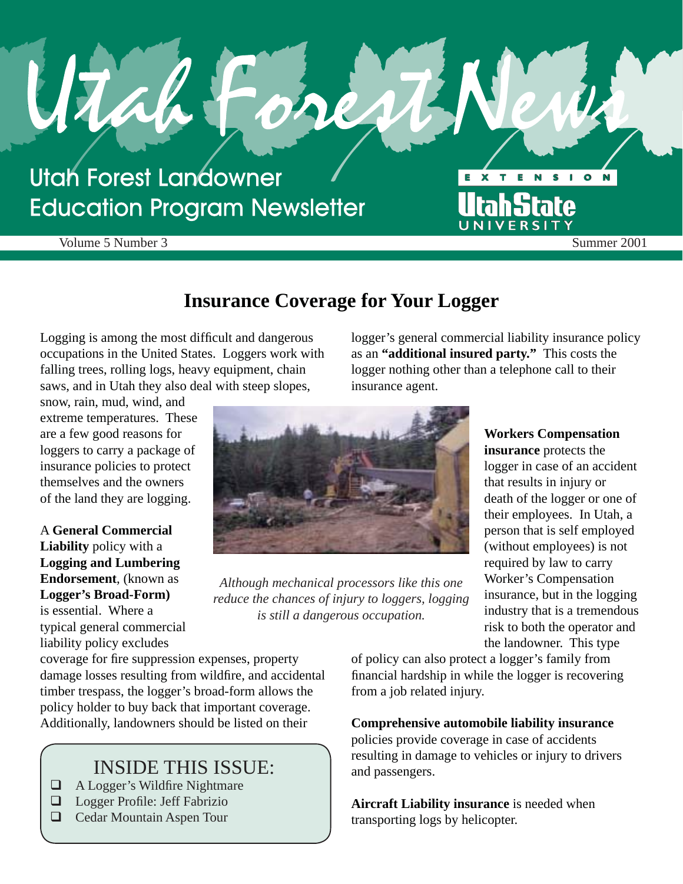## **Utah Forest Landowner Education Program Newsletter**

Volume 5 Number 3 Summer 2001

## **Insurance Coverage for Your Logger**

Logging is among the most difficult and dangerous occupations in the United States. Loggers work with falling trees, rolling logs, heavy equipment, chain saws, and in Utah they also deal with steep slopes,

snow, rain, mud, wind, and extreme temperatures. These are a few good reasons for loggers to carry a package of insurance policies to protect themselves and the owners of the land they are logging.

A **General Commercial Liability** policy with a **Logging and Lumbering Endorsement**, (known as **Logger's Broad-Form)** 

is essential. Where a typical general commercial liability policy excludes

logger's general commercial liability insurance policy as an **"additional insured party."** This costs the logger nothing other than a telephone call to their insurance agent.

X T E N

UNIVERSI

**UtahState** 

E

S

 $\bullet$ 



*Although mechanical processors like this one reduce the chances of injury to loggers, logging is still a dangerous occupation.* 

**Workers Compensation insurance** protects the logger in case of an accident that results in injury or death of the logger or one of their employees. In Utah, a person that is self employed (without employees) is not required by law to carry Worker's Compensation insurance, but in the logging industry that is a tremendous risk to both the operator and the landowner. This type

 $\overline{\phantom{a}}$ 

coverage for fire suppression expenses, property damage losses resulting from wildfire, and accidental timber trespass, the logger's broad-form allows the policy holder to buy back that important coverage. Additionally, landowners should be listed on their

## INSIDE THIS ISSUE:

- $\Box$  A Logger's Wildfire Nightmare
- $\Box$  Logger Profile: Jeff Fabrizio
- Cedar Mountain Aspen Tour

of policy can also protect a logger's family from financial hardship in while the logger is recovering from a job related injury.

#### **Comprehensive automobile liability insurance**

policies provide coverage in case of accidents resulting in damage to vehicles or injury to drivers and passengers.

**Aircraft Liability insurance** is needed when transporting logs by helicopter.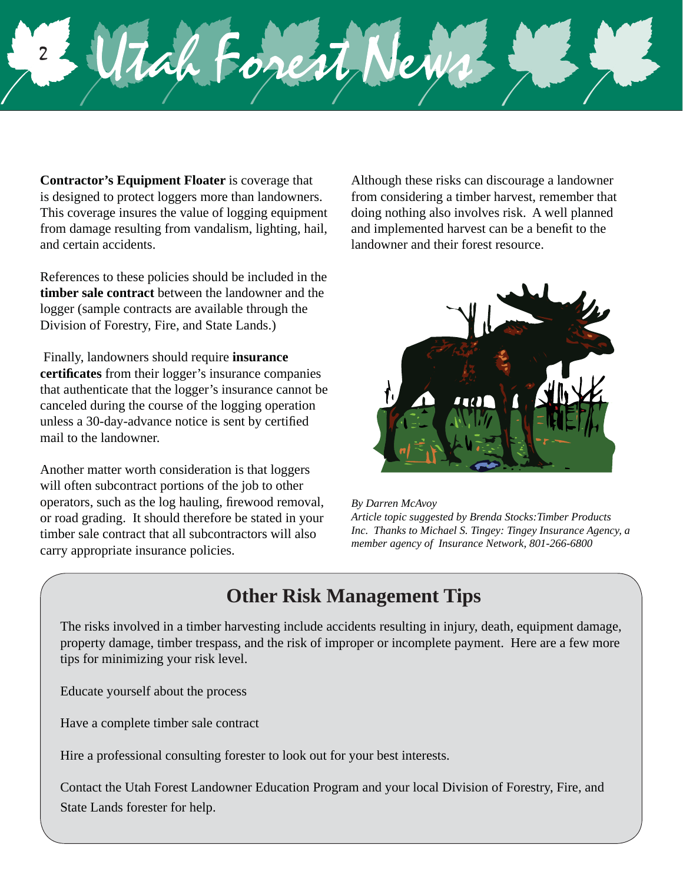**Contractor's Equipment Floater** is coverage that is designed to protect loggers more than landowners. This coverage insures the value of logging equipment from damage resulting from vandalism, lighting, hail, and certain accidents.

Tah Fores

2

References to these policies should be included in the **timber sale contract** between the landowner and the logger (sample contracts are available through the Division of Forestry, Fire, and State Lands.)

 Finally, landowners should require **insurance certificates** from their logger's insurance companies that authenticate that the logger's insurance cannot be canceled during the course of the logging operation unless a 30-day-advance notice is sent by certified mail to the landowner.

Another matter worth consideration is that loggers will often subcontract portions of the job to other operators, such as the log hauling, firewood removal, or road grading. It should therefore be stated in your timber sale contract that all subcontractors will also carry appropriate insurance policies.

Although these risks can discourage a landowner from considering a timber harvest, remember that doing nothing also involves risk. A well planned and implemented harvest can be a benefit to the landowner and their forest resource.



*By Darren McAvoy*

*Article topic suggested by Brenda Stocks:Timber Products Inc. Thanks to Michael S. Tingey: Tingey Insurance Agency, a member agency of Insurance Network, 801-266-6800*

## **Other Risk Management Tips**

The risks involved in a timber harvesting include accidents resulting in injury, death, equipment damage, property damage, timber trespass, and the risk of improper or incomplete payment. Here are a few more tips for minimizing your risk level.

Educate yourself about the process

Have a complete timber sale contract

Hire a professional consulting forester to look out for your best interests.

Contact the Utah Forest Landowner Education Program and your local Division of Forestry, Fire, and State Lands forester for help.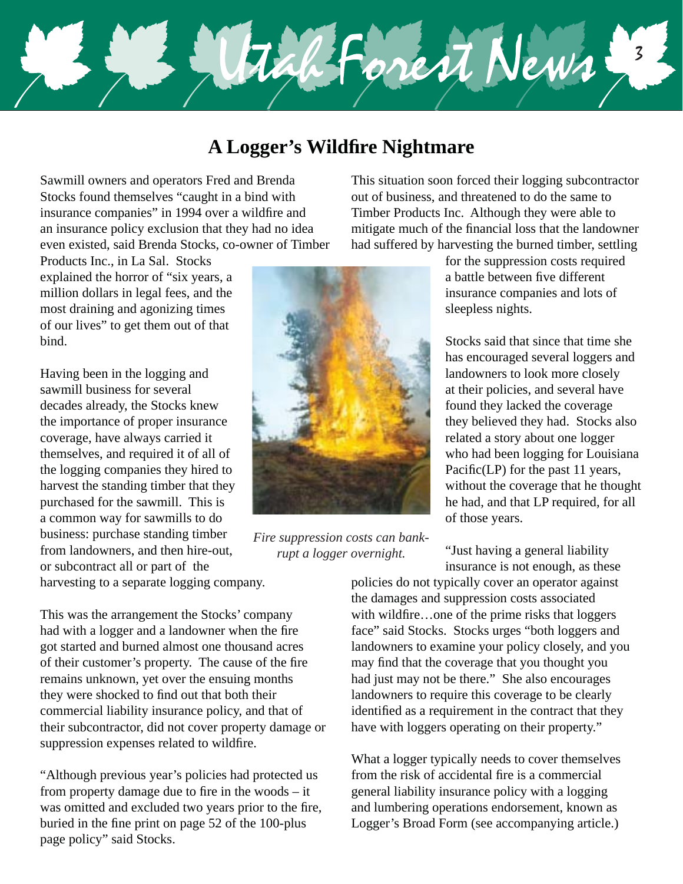

## **A Logger's Wildfi re Nightmare**

Sawmill owners and operators Fred and Brenda Stocks found themselves "caught in a bind with insurance companies" in 1994 over a wildfire and an insurance policy exclusion that they had no idea even existed, said Brenda Stocks, co-owner of Timber

Products Inc., in La Sal. Stocks explained the horror of "six years, a million dollars in legal fees, and the most draining and agonizing times of our lives" to get them out of that bind.

Having been in the logging and sawmill business for several decades already, the Stocks knew the importance of proper insurance coverage, have always carried it themselves, and required it of all of the logging companies they hired to harvest the standing timber that they purchased for the sawmill. This is a common way for sawmills to do business: purchase standing timber from landowners, and then hire-out, or subcontract all or part of the harvesting to a separate logging company.



*Fire suppression costs can bankrupt a logger overnight.* 

This situation soon forced their logging subcontractor out of business, and threatened to do the same to Timber Products Inc. Although they were able to mitigate much of the financial loss that the landowner had suffered by harvesting the burned timber, settling

> for the suppression costs required a battle between five different insurance companies and lots of sleepless nights.

Stocks said that since that time she has encouraged several loggers and landowners to look more closely at their policies, and several have found they lacked the coverage they believed they had. Stocks also related a story about one logger who had been logging for Louisiana Pacific $(LP)$  for the past 11 years, without the coverage that he thought he had, and that LP required, for all of those years.

"Just having a general liability insurance is not enough, as these

This was the arrangement the Stocks' company had with a logger and a landowner when the fire got started and burned almost one thousand acres of their customer's property. The cause of the fire remains unknown, yet over the ensuing months they were shocked to find out that both their commercial liability insurance policy, and that of their subcontractor, did not cover property damage or suppression expenses related to wildfire.

"Although previous year's policies had protected us from property damage due to fire in the woods  $-$  it was omitted and excluded two years prior to the fire, buried in the fine print on page  $52$  of the 100-plus page policy" said Stocks.

policies do not typically cover an operator against the damages and suppression costs associated with wildfire…one of the prime risks that loggers face" said Stocks. Stocks urges "both loggers and landowners to examine your policy closely, and you may find that the coverage that you thought you had just may not be there." She also encourages landowners to require this coverage to be clearly identified as a requirement in the contract that they have with loggers operating on their property."

What a logger typically needs to cover themselves from the risk of accidental fire is a commercial general liability insurance policy with a logging and lumbering operations endorsement, known as Logger's Broad Form (see accompanying article.)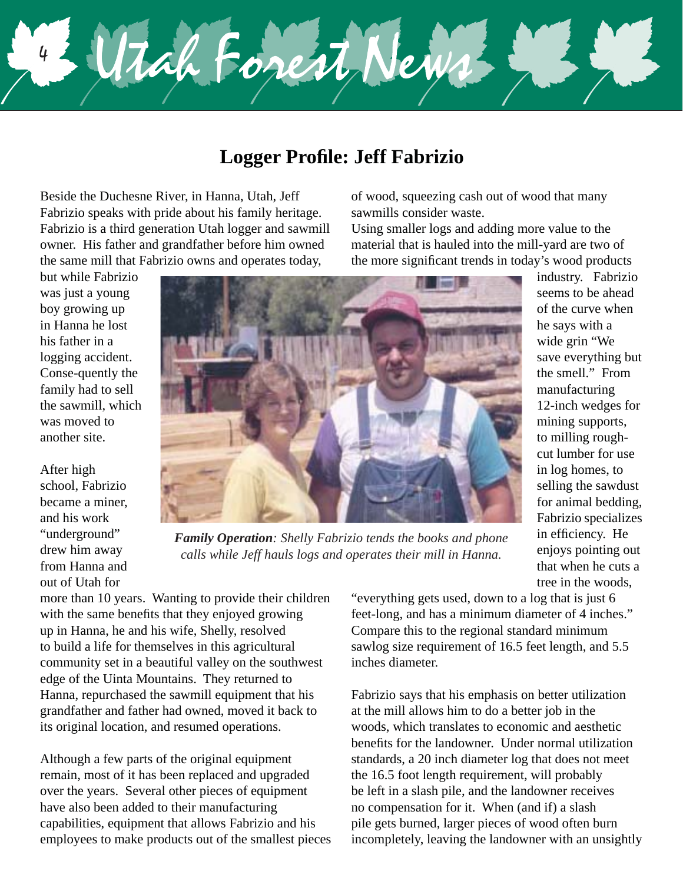4 Utah Forest News

## **Logger Profile: Jeff Fabrizio**

Beside the Duchesne River, in Hanna, Utah, Jeff Fabrizio speaks with pride about his family heritage. Fabrizio is a third generation Utah logger and sawmill owner. His father and grandfather before him owned the same mill that Fabrizio owns and operates today,

but while Fabrizio was just a young boy growing up in Hanna he lost his father in a logging accident. Conse-quently the family had to sell the sawmill, which was moved to another site.

After high school, Fabrizio became a miner, and his work "underground" drew him away from Hanna and out of Utah for



*Family Operation: Shelly Fabrizio tends the books and phone calls while Jeff hauls logs and operates their mill in Hanna.* 

more than 10 years. Wanting to provide their children with the same benefits that they enjoyed growing up in Hanna, he and his wife, Shelly, resolved to build a life for themselves in this agricultural community set in a beautiful valley on the southwest edge of the Uinta Mountains. They returned to Hanna, repurchased the sawmill equipment that his grandfather and father had owned, moved it back to its original location, and resumed operations.

Although a few parts of the original equipment remain, most of it has been replaced and upgraded over the years. Several other pieces of equipment have also been added to their manufacturing capabilities, equipment that allows Fabrizio and his employees to make products out of the smallest pieces "everything gets used, down to a log that is just 6 feet-long, and has a minimum diameter of 4 inches." Compare this to the regional standard minimum sawlog size requirement of 16.5 feet length, and 5.5 inches diameter.

of wood, squeezing cash out of wood that many

Using smaller logs and adding more value to the material that is hauled into the mill-yard are two of

sawmills consider waste.

Fabrizio says that his emphasis on better utilization at the mill allows him to do a better job in the woods, which translates to economic and aesthetic benefits for the landowner. Under normal utilization standards, a 20 inch diameter log that does not meet the 16.5 foot length requirement, will probably be left in a slash pile, and the landowner receives no compensation for it. When (and if) a slash pile gets burned, larger pieces of wood often burn incompletely, leaving the landowner with an unsightly

industry. Fabrizio seems to be ahead of the curve when he says with a wide grin "We save everything but the smell." From manufacturing 12-inch wedges for mining supports, to milling roughcut lumber for use in log homes, to selling the sawdust for animal bedding, Fabrizio specializes in efficiency. He enjoys pointing out that when he cuts a tree in the woods,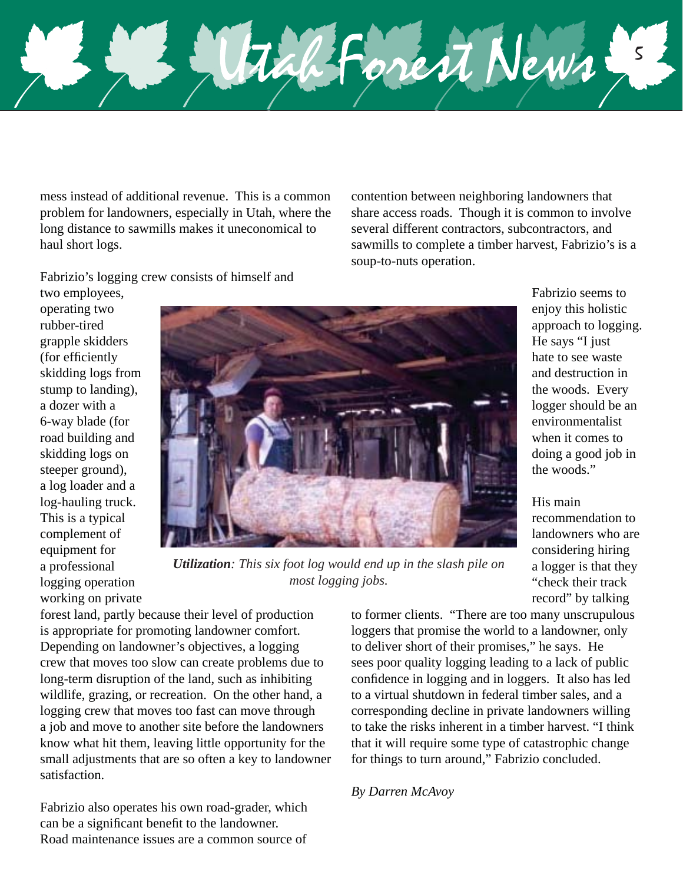

mess instead of additional revenue. This is a common problem for landowners, especially in Utah, where the long distance to sawmills makes it uneconomical to haul short logs.

contention between neighboring landowners that share access roads. Though it is common to involve several different contractors, subcontractors, and sawmills to complete a timber harvest, Fabrizio's is a soup-to-nuts operation.

Fabrizio's logging crew consists of himself and

two employees, operating two rubber-tired grapple skidders (for efficiently skidding logs from stump to landing), a dozer with a 6-way blade (for road building and skidding logs on steeper ground), a log loader and a log-hauling truck. This is a typical complement of equipment for a professional logging operation working on private



*Utilization: This six foot log would end up in the slash pile on most logging jobs.* 

forest land, partly because their level of production is appropriate for promoting landowner comfort. Depending on landowner's objectives, a logging crew that moves too slow can create problems due to long-term disruption of the land, such as inhibiting wildlife, grazing, or recreation. On the other hand, a logging crew that moves too fast can move through a job and move to another site before the landowners know what hit them, leaving little opportunity for the small adjustments that are so often a key to landowner satisfaction.

Fabrizio also operates his own road-grader, which can be a significant benefit to the landowner. Road maintenance issues are a common source of

to former clients. "There are too many unscrupulous loggers that promise the world to a landowner, only to deliver short of their promises," he says. He sees poor quality logging leading to a lack of public confidence in logging and in loggers. It also has led to a virtual shutdown in federal timber sales, and a corresponding decline in private landowners willing to take the risks inherent in a timber harvest. "I think that it will require some type of catastrophic change for things to turn around," Fabrizio concluded.

#### *By Darren McAvoy*

Fabrizio seems to enjoy this holistic approach to logging. He says "I just hate to see waste and destruction in the woods. Every logger should be an environmentalist when it comes to doing a good job in the woods"

### His main

recommendation to landowners who are considering hiring a logger is that they "check their track record" by talking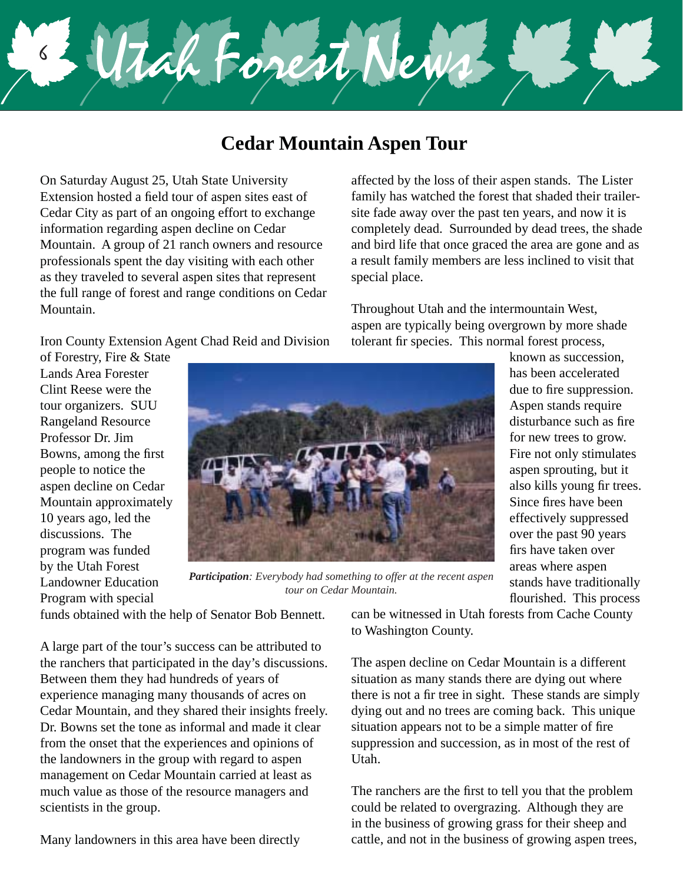# Wightonest New 6

## **Cedar Mountain Aspen Tour**

On Saturday August 25, Utah State University Extension hosted a field tour of aspen sites east of Cedar City as part of an ongoing effort to exchange information regarding aspen decline on Cedar Mountain. A group of 21 ranch owners and resource professionals spent the day visiting with each other as they traveled to several aspen sites that represent the full range of forest and range conditions on Cedar Mountain.

Iron County Extension Agent Chad Reid and Division

of Forestry, Fire & State Lands Area Forester Clint Reese were the tour organizers. SUU Rangeland Resource Professor Dr. Jim Bowns, among the first people to notice the aspen decline on Cedar Mountain approximately 10 years ago, led the discussions. The program was funded by the Utah Forest Landowner Education Program with special



*Participation: Everybody had something to offer at the recent aspen tour on Cedar Mountain.* 

funds obtained with the help of Senator Bob Bennett.

A large part of the tour's success can be attributed to the ranchers that participated in the day's discussions. Between them they had hundreds of years of experience managing many thousands of acres on Cedar Mountain, and they shared their insights freely. Dr. Bowns set the tone as informal and made it clear from the onset that the experiences and opinions of the landowners in the group with regard to aspen management on Cedar Mountain carried at least as much value as those of the resource managers and scientists in the group.

Many landowners in this area have been directly

affected by the loss of their aspen stands. The Lister family has watched the forest that shaded their trailersite fade away over the past ten years, and now it is completely dead. Surrounded by dead trees, the shade and bird life that once graced the area are gone and as a result family members are less inclined to visit that special place.

Throughout Utah and the intermountain West, aspen are typically being overgrown by more shade tolerant fir species. This normal forest process,

> known as succession, has been accelerated due to fire suppression. Aspen stands require disturbance such as fire for new trees to grow. Fire not only stimulates aspen sprouting, but it also kills young fir trees. Since fires have been effectively suppressed over the past 90 years firs have taken over areas where aspen stands have traditionally flourished. This process

can be witnessed in Utah forests from Cache County to Washington County.

The aspen decline on Cedar Mountain is a different situation as many stands there are dying out where there is not a fir tree in sight. These stands are simply dying out and no trees are coming back. This unique situation appears not to be a simple matter of fire suppression and succession, as in most of the rest of Utah.

The ranchers are the first to tell you that the problem could be related to overgrazing. Although they are in the business of growing grass for their sheep and cattle, and not in the business of growing aspen trees,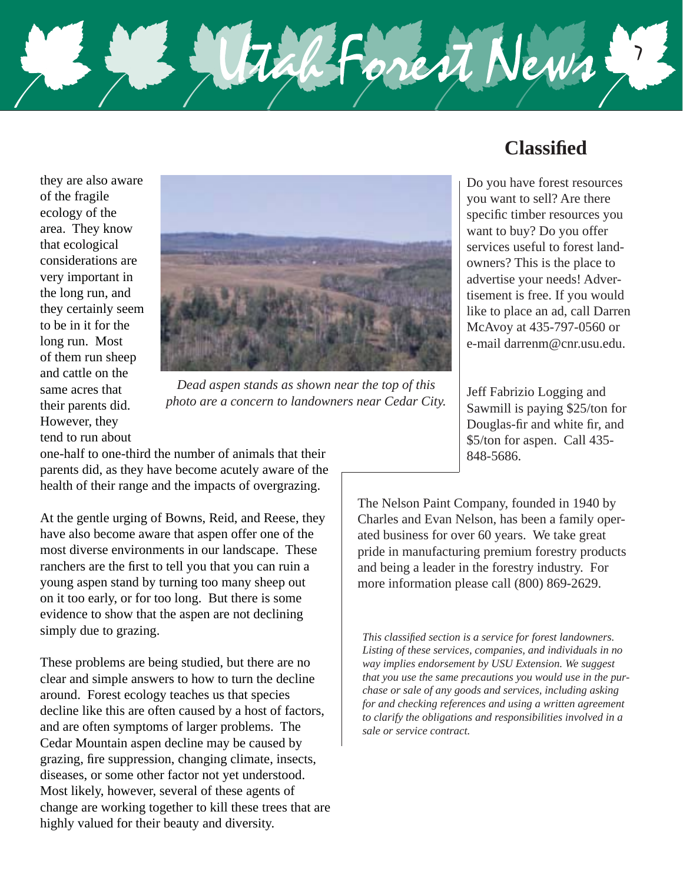

they are also aware of the fragile ecology of the area. They know that ecological considerations are very important in the long run, and they certainly seem to be in it for the long run. Most of them run sheep and cattle on the same acres that their parents did. However, they tend to run about



*Dead aspen stands as shown near the top of this photo are a concern to landowners near Cedar City.* 

one-half to one-third the number of animals that their parents did, as they have become acutely aware of the health of their range and the impacts of overgrazing.

At the gentle urging of Bowns, Reid, and Reese, they have also become aware that aspen offer one of the most diverse environments in our landscape. These ranchers are the first to tell you that you can ruin a young aspen stand by turning too many sheep out on it too early, or for too long. But there is some evidence to show that the aspen are not declining simply due to grazing.

These problems are being studied, but there are no clear and simple answers to how to turn the decline around. Forest ecology teaches us that species decline like this are often caused by a host of factors, and are often symptoms of larger problems. The Cedar Mountain aspen decline may be caused by grazing, fire suppression, changing climate, insects, diseases, or some other factor not yet understood. Most likely, however, several of these agents of change are working together to kill these trees that are highly valued for their beauty and diversity.

## **Classifi ed**

Do you have forest resources you want to sell? Are there specific timber resources you want to buy? Do you offer services useful to forest landowners? This is the place to advertise your needs! Advertisement is free. If you would like to place an ad, call Darren McAvoy at 435-797-0560 or e-mail darrenm@cnr.usu.edu.

Jeff Fabrizio Logging and Sawmill is paying \$25/ton for Douglas-fir and white fir, and \$5/ton for aspen. Call 435- 848-5686.

The Nelson Paint Company, founded in 1940 by Charles and Evan Nelson, has been a family operated business for over 60 years. We take great pride in manufacturing premium forestry products and being a leader in the forestry industry. For more information please call (800) 869-2629.

*This classified section is a service for forest landowners. Listing of these services, companies, and individuals in no way implies endorsement by USU Extension. We suggest that you use the same precautions you would use in the purchase or sale of any goods and services, including asking for and checking references and using a written agreement to clarify the obligations and responsibilities involved in a sale or service contract.*